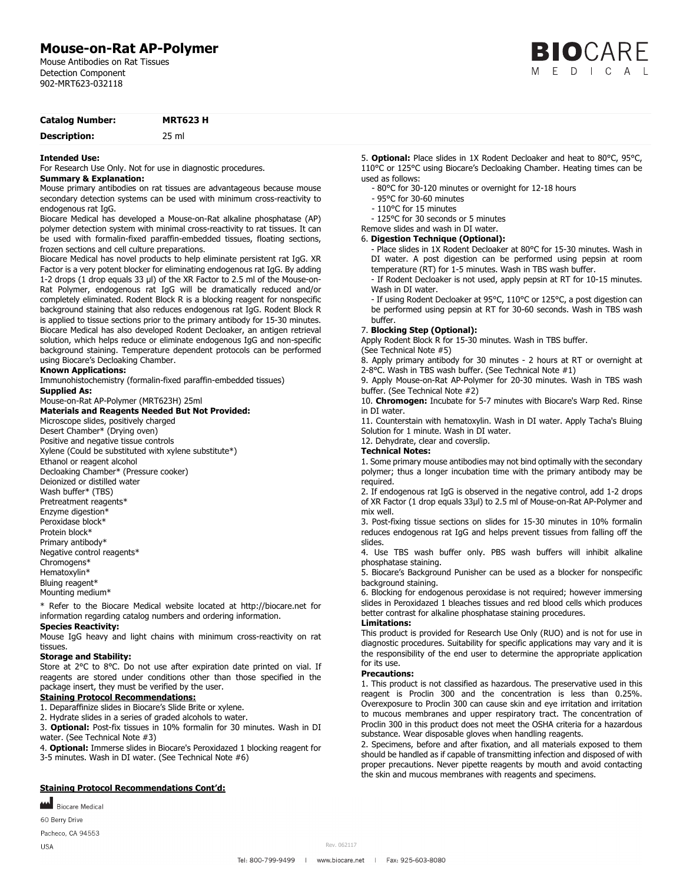# **Mouse-on-Rat AP-Polymer**

Mouse Antibodies on Rat Tissues Detection Component 902-MRT623-032118

|  | <b>BIO</b> CARE |  |  |
|--|-----------------|--|--|
|  | MEDICAL         |  |  |

## **Catalog Number: MRT623 H Description:** 25 ml

#### **Intended Use:**

For Research Use Only. Not for use in diagnostic procedures.

#### **Summary & Explanation:**

Mouse primary antibodies on rat tissues are advantageous because mouse secondary detection systems can be used with minimum cross-reactivity to endogenous rat IgG.

Biocare Medical has developed a Mouse-on-Rat alkaline phosphatase (AP) polymer detection system with minimal cross-reactivity to rat tissues. It can be used with formalin-fixed paraffin-embedded tissues, floating sections, frozen sections and cell culture preparations.

Biocare Medical has novel products to help eliminate persistent rat IgG. XR Factor is a very potent blocker for eliminating endogenous rat IgG. By adding 1-2 drops (1 drop equals 33 μl) of the XR Factor to 2.5 ml of the Mouse-on-Rat Polymer, endogenous rat IgG will be dramatically reduced and/or completely eliminated. Rodent Block R is a blocking reagent for nonspecific background staining that also reduces endogenous rat IgG. Rodent Block R is applied to tissue sections prior to the primary antibody for 15-30 minutes. Biocare Medical has also developed Rodent Decloaker, an antigen retrieval solution, which helps reduce or eliminate endogenous IgG and non-specific background staining. Temperature dependent protocols can be performed using Biocare's Decloaking Chamber.

#### **Known Applications:**

Immunohistochemistry (formalin-fixed paraffin-embedded tissues)

## **Supplied As:**

# Mouse-on-Rat AP-Polymer (MRT623H) 25ml

**Materials and Reagents Needed But Not Provided:** Microscope slides, positively charged Desert Chamber\* (Drying oven) Positive and negative tissue controls Xylene (Could be substituted with xylene substitute\*) Ethanol or reagent alcohol Decloaking Chamber\* (Pressure cooker) Deionized or distilled water Wash buffer\* (TBS) Pretreatment reagents\* Enzyme digestion\* Peroxidase block\* Protein block\* Primary antibody\* Negative control reagents\* Chromogens\* Hematoxylin\* Bluing reagent\* Mounting medium\*

\* Refer to the Biocare Medical website located at http://biocare.net for information regarding catalog numbers and ordering information. **Species Reactivity:** 

Mouse IgG heavy and light chains with minimum cross-reactivity on rat tissues.

#### **Storage and Stability:**

Store at 2°C to 8°C. Do not use after expiration date printed on vial. If reagents are stored under conditions other than those specified in the package insert, they must be verified by the user.

#### **Staining Protocol Recommendations:**

1. Deparaffinize slides in Biocare's Slide Brite or xylene.

2. Hydrate slides in a series of graded alcohols to water.

3. **Optional:** Post-fix tissues in 10% formalin for 30 minutes. Wash in DI water. (See Technical Note #3)

4. **Optional:** Immerse slides in Biocare's Peroxidazed 1 blocking reagent for 3-5 minutes. Wash in DI water. (See Technical Note #6)

#### **Staining Protocol Recommendations Cont'd:**

**MAN** Biocare Medical

60 Berry Drive

Pacheco, CA 94553

**USA** 

5. **Optional:** Place slides in 1X Rodent Decloaker and heat to 80°C, 95°C, 110°C or 125°C using Biocare's Decloaking Chamber. Heating times can be used as follows:

- 80°C for 30-120 minutes or overnight for 12-18 hours

- 95°C for 30-60 minutes
- 110°C for 15 minutes
- 125°C for 30 seconds or 5 minutes

Remove slides and wash in DI water.

#### 6. **Digestion Technique (Optional):**

- Place slides in 1X Rodent Decloaker at 80°C for 15-30 minutes. Wash in DI water. A post digestion can be performed using pepsin at room temperature (RT) for 1-5 minutes. Wash in TBS wash buffer.

- If Rodent Decloaker is not used, apply pepsin at RT for 10-15 minutes. Wash in DI water.

- If using Rodent Decloaker at 95°C, 110°C or 125°C, a post digestion can be performed using pepsin at RT for 30-60 seconds. Wash in TBS wash buffer.

#### 7. **Blocking Step (Optional):**

Apply Rodent Block R for 15-30 minutes. Wash in TBS buffer.

(See Technical Note #5)

8. Apply primary antibody for 30 minutes - 2 hours at RT or overnight at 2-8°C. Wash in TBS wash buffer. (See Technical Note #1)

9. Apply Mouse-on-Rat AP-Polymer for 20-30 minutes. Wash in TBS wash buffer. (See Technical Note #2)

10. **Chromogen:** Incubate for 5-7 minutes with Biocare's Warp Red. Rinse in DI water.

11. Counterstain with hematoxylin. Wash in DI water. Apply Tacha's Bluing Solution for 1 minute. Wash in DI water.

12. Dehydrate, clear and coverslip.

#### **Technical Notes:**

1. Some primary mouse antibodies may not bind optimally with the secondary polymer; thus a longer incubation time with the primary antibody may be required.

2. If endogenous rat IgG is observed in the negative control, add 1-2 drops of XR Factor (1 drop equals 33μl) to 2.5 ml of Mouse-on-Rat AP-Polymer and mix well.

3. Post-fixing tissue sections on slides for 15-30 minutes in 10% formalin reduces endogenous rat IgG and helps prevent tissues from falling off the slides.

4. Use TBS wash buffer only. PBS wash buffers will inhibit alkaline phosphatase staining.

5. Biocare's Background Punisher can be used as a blocker for nonspecific background staining.

6. Blocking for endogenous peroxidase is not required; however immersing slides in Peroxidazed 1 bleaches tissues and red blood cells which produces better contrast for alkaline phosphatase staining procedures.

#### **Limitations:**

This product is provided for Research Use Only (RUO) and is not for use in diagnostic procedures. Suitability for specific applications may vary and it is the responsibility of the end user to determine the appropriate application for its use.

#### **Precautions:**

1. This product is not classified as hazardous. The preservative used in this reagent is Proclin 300 and the concentration is less than 0.25%. Overexposure to Proclin 300 can cause skin and eye irritation and irritation to mucous membranes and upper respiratory tract. The concentration of Proclin 300 in this product does not meet the OSHA criteria for a hazardous substance. Wear disposable gloves when handling reagents.

2. Specimens, before and after fixation, and all materials exposed to them should be handled as if capable of transmitting infection and disposed of with proper precautions. Never pipette reagents by mouth and avoid contacting the skin and mucous membranes with reagents and specimens.